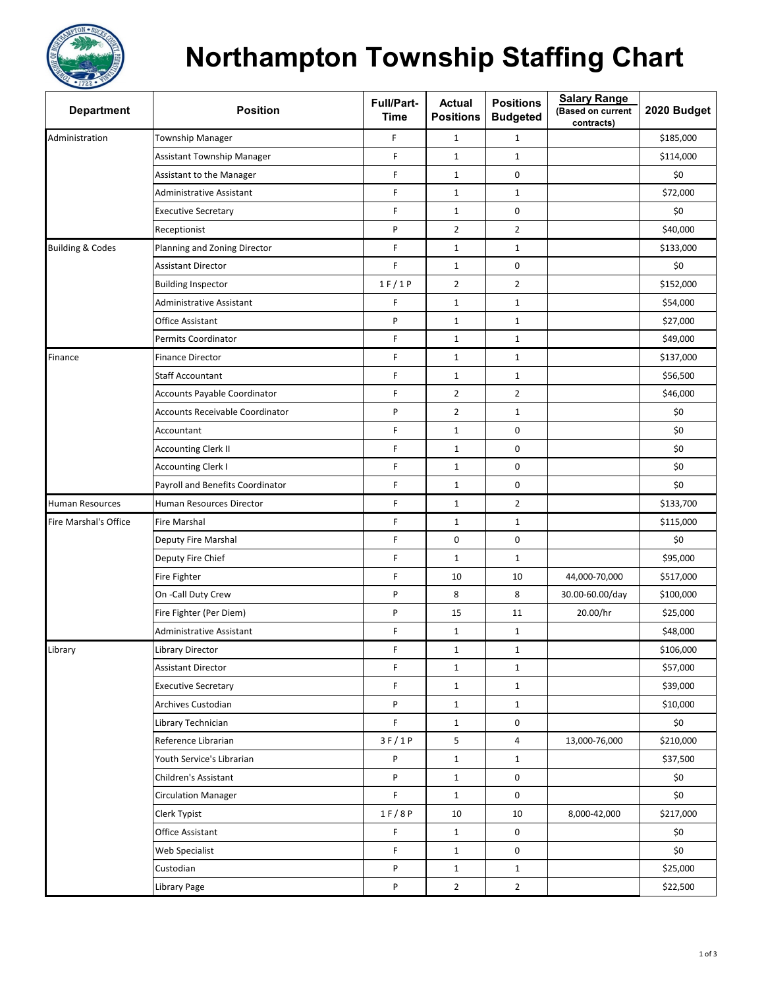

## **Northampton Township Staffing Chart**

| <b>Department</b>           | <b>Position</b>                        | Full/Part-<br><b>Time</b> | Actual<br><b>Positions</b> | <b>Positions</b><br><b>Budgeted</b> | <b>Salary Range</b><br>(Based on current<br>contracts) | 2020 Budget |
|-----------------------------|----------------------------------------|---------------------------|----------------------------|-------------------------------------|--------------------------------------------------------|-------------|
| Administration              | <b>Township Manager</b>                | F                         | $\mathbf{1}$               | $\mathbf{1}$                        |                                                        | \$185,000   |
|                             | Assistant Township Manager             | F                         | $\mathbf{1}$               | $\mathbf{1}$                        |                                                        | \$114,000   |
|                             | <b>Assistant to the Manager</b>        | F                         | $\mathbf{1}$               | 0                                   |                                                        | \$0         |
|                             | Administrative Assistant               | F                         | $\mathbf{1}$               | $\mathbf{1}$                        |                                                        | \$72,000    |
|                             | <b>Executive Secretary</b>             | F                         | $\mathbf{1}$               | 0                                   |                                                        | \$0         |
|                             | Receptionist                           | P                         | $\overline{2}$             | $\overline{2}$                      |                                                        | \$40,000    |
| <b>Building &amp; Codes</b> | Planning and Zoning Director           | F                         | $\mathbf{1}$               | $\mathbf{1}$                        |                                                        | \$133,000   |
|                             | <b>Assistant Director</b>              | F                         | $\mathbf{1}$               | 0                                   |                                                        | \$0         |
|                             | <b>Building Inspector</b>              | 1 F / 1 P                 | $\overline{2}$             | $\overline{2}$                      |                                                        | \$152,000   |
|                             | Administrative Assistant               | F                         | $\mathbf 1$                | $\mathbf 1$                         |                                                        | \$54,000    |
|                             | Office Assistant                       | P                         | $\mathbf 1$                | $\mathbf{1}$                        |                                                        | \$27,000    |
|                             | Permits Coordinator                    | F                         | $\mathbf{1}$               | $\mathbf{1}$                        |                                                        | \$49,000    |
| Finance                     | <b>Finance Director</b>                | F                         | $\mathbf{1}$               | $\mathbf{1}$                        |                                                        | \$137,000   |
|                             | <b>Staff Accountant</b>                | F                         | $\mathbf 1$                | $\mathbf{1}$                        |                                                        | \$56,500    |
|                             | <b>Accounts Payable Coordinator</b>    | F                         | $\overline{2}$             | $\overline{2}$                      |                                                        | \$46,000    |
|                             | <b>Accounts Receivable Coordinator</b> | P                         | $\overline{2}$             | $\mathbf{1}$                        |                                                        | \$0         |
|                             | Accountant                             | F                         | $\mathbf{1}$               | 0                                   |                                                        | \$0         |
|                             | <b>Accounting Clerk II</b>             | F                         | $\mathbf{1}$               | 0                                   |                                                        | \$0         |
|                             | <b>Accounting Clerk I</b>              | F                         | $\mathbf 1$                | $\pmb{0}$                           |                                                        | \$0         |
|                             | Payroll and Benefits Coordinator       | F                         | $\mathbf{1}$               | 0                                   |                                                        | \$0         |
| <b>Human Resources</b>      | Human Resources Director               | F                         | $\mathbf{1}$               | $\overline{2}$                      |                                                        | \$133,700   |
| Fire Marshal's Office       | Fire Marshal                           | F                         | $\mathbf{1}$               | $\mathbf{1}$                        |                                                        | \$115,000   |
|                             | Deputy Fire Marshal                    | F                         | 0                          | $\pmb{0}$                           |                                                        | \$0         |
|                             | Deputy Fire Chief                      | F                         | $\mathbf{1}$               | $\mathbf{1}$                        |                                                        | \$95,000    |
|                             | Fire Fighter                           | F                         | 10                         | 10                                  | 44,000-70,000                                          | \$517,000   |
|                             | On -Call Duty Crew                     | P                         | 8                          | 8                                   | 30.00-60.00/day                                        | \$100,000   |
|                             | Fire Fighter (Per Diem)                | P                         | 15                         | 11                                  | 20.00/hr                                               | \$25,000    |
|                             | Administrative Assistant               | F                         | $\mathbf{1}$               | $\mathbf{1}$                        |                                                        | \$48,000    |
| Library                     | Library Director                       | F                         | 1                          | $\mathbf{1}$                        |                                                        | \$106,000   |
|                             | <b>Assistant Director</b>              | F                         | $\mathbf{1}$               | $\mathbf{1}$                        |                                                        | \$57,000    |
|                             | <b>Executive Secretary</b>             | F                         | $\mathbf{1}$               | $\mathbf{1}$                        |                                                        | \$39,000    |
|                             | Archives Custodian                     | P                         | $\mathbf{1}$               | $\mathbf{1}$                        |                                                        | \$10,000    |
|                             | Library Technician                     | F                         | $\mathbf{1}$               | 0                                   |                                                        | \$0         |
|                             | Reference Librarian                    | 3F/1P                     | 5                          | 4                                   | 13,000-76,000                                          | \$210,000   |
|                             | Youth Service's Librarian              | P                         | $\mathbf{1}$               | $\mathbf{1}$                        |                                                        | \$37,500    |
|                             | Children's Assistant                   | P                         | $\mathbf{1}$               | 0                                   |                                                        | \$0         |
|                             | <b>Circulation Manager</b>             | F                         | $\mathbf{1}$               | 0                                   |                                                        | \$0         |
|                             | Clerk Typist                           | 1 F / 8 P                 | 10                         | 10                                  | 8,000-42,000                                           | \$217,000   |
|                             | Office Assistant                       | F                         | $\mathbf{1}$               | 0                                   |                                                        | \$0         |
|                             | Web Specialist                         | F                         | $\mathbf{1}$               | 0                                   |                                                        | \$0         |
|                             | Custodian                              | P                         | $\mathbf{1}$               | $\mathbf{1}$                        |                                                        | \$25,000    |
|                             | Library Page                           | P                         | $\overline{2}$             | $\overline{2}$                      |                                                        | \$22,500    |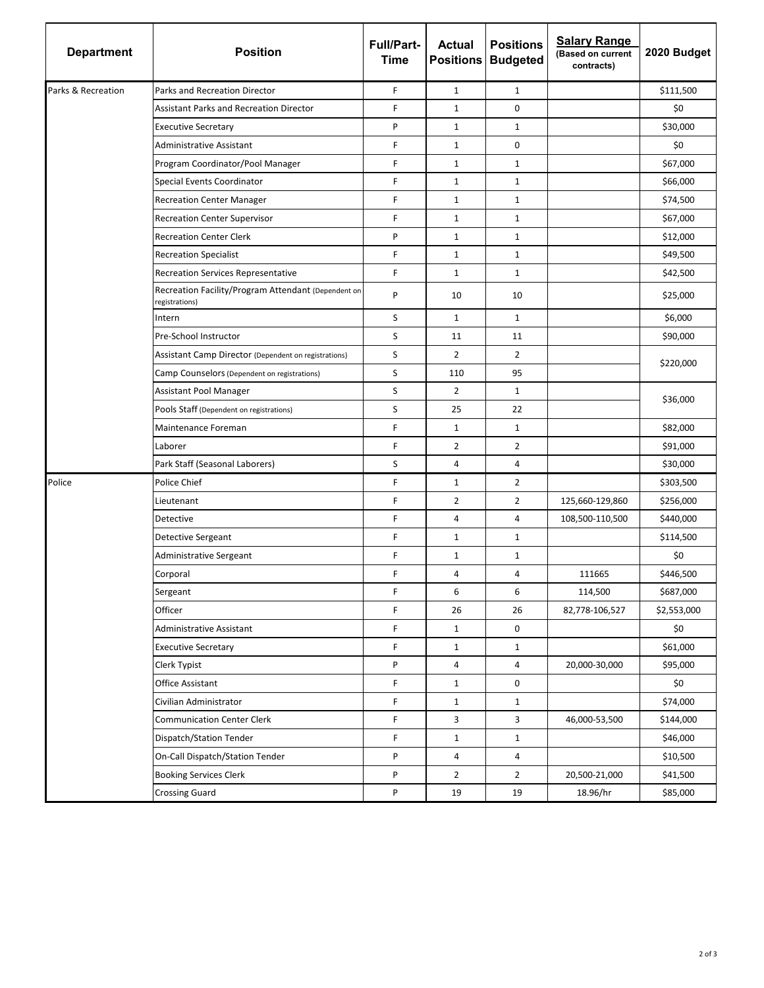| <b>Department</b>  | <b>Position</b>                                                       | <b>Full/Part-</b><br><b>Time</b> | <b>Actual</b>  | <b>Positions</b><br><b>Positions Budgeted</b> | <b>Salary Range</b><br>(Based on current<br>contracts) | 2020 Budget |
|--------------------|-----------------------------------------------------------------------|----------------------------------|----------------|-----------------------------------------------|--------------------------------------------------------|-------------|
| Parks & Recreation | Parks and Recreation Director                                         | F                                | $\mathbf{1}$   | $\mathbf{1}$                                  |                                                        | \$111,500   |
|                    | <b>Assistant Parks and Recreation Director</b>                        | F.                               | $\mathbf{1}$   | 0                                             |                                                        | \$0         |
|                    | <b>Executive Secretary</b>                                            | P                                | $\mathbf{1}$   | $\mathbf{1}$                                  |                                                        | \$30,000    |
|                    | <b>Administrative Assistant</b>                                       | F                                | $\mathbf{1}$   | 0                                             |                                                        | \$0         |
|                    | Program Coordinator/Pool Manager                                      | F                                | $\mathbf 1$    | $\mathbf{1}$                                  |                                                        | \$67,000    |
|                    | Special Events Coordinator                                            | F.                               | $\mathbf{1}$   | 1                                             |                                                        | \$66,000    |
|                    | <b>Recreation Center Manager</b>                                      | F                                | $\mathbf{1}$   | $\mathbf{1}$                                  |                                                        | \$74,500    |
|                    | <b>Recreation Center Supervisor</b>                                   | F                                | $\mathbf{1}$   | $\mathbf{1}$                                  |                                                        | \$67,000    |
|                    | <b>Recreation Center Clerk</b>                                        | P                                | $\mathbf{1}$   | $\mathbf{1}$                                  |                                                        | \$12,000    |
|                    | <b>Recreation Specialist</b>                                          | F                                | $\mathbf{1}$   | $\mathbf{1}$                                  |                                                        | \$49,500    |
|                    | <b>Recreation Services Representative</b>                             | F                                | $\mathbf{1}$   | $\mathbf{1}$                                  |                                                        | \$42,500    |
|                    | Recreation Facility/Program Attendant (Dependent on<br>registrations) | P                                | 10             | 10                                            |                                                        | \$25,000    |
|                    | Intern                                                                | S                                | $\mathbf{1}$   | $\mathbf{1}$                                  |                                                        | \$6,000     |
|                    | Pre-School Instructor                                                 | S                                | 11             | 11                                            |                                                        | \$90,000    |
|                    | Assistant Camp Director (Dependent on registrations)                  | S                                | $\overline{2}$ | $\overline{2}$                                |                                                        | \$220,000   |
|                    | Camp Counselors (Dependent on registrations)                          | S                                | 110            | 95                                            |                                                        |             |
|                    | Assistant Pool Manager                                                | S                                | $\overline{2}$ | 1                                             |                                                        | \$36,000    |
|                    | Pools Staff (Dependent on registrations)                              | S                                | 25             | 22                                            |                                                        |             |
|                    | Maintenance Foreman                                                   | F                                | $\mathbf{1}$   | $\mathbf{1}$                                  |                                                        | \$82,000    |
|                    | Laborer                                                               | F                                | $\overline{2}$ | $\overline{2}$                                |                                                        | \$91,000    |
|                    | Park Staff (Seasonal Laborers)                                        | S                                | 4              | 4                                             |                                                        | \$30,000    |
| Police             | Police Chief                                                          | F                                | $\mathbf{1}$   | $\overline{2}$                                |                                                        | \$303,500   |
|                    | Lieutenant                                                            | F.                               | $\overline{2}$ | $\overline{2}$                                | 125,660-129,860                                        | \$256,000   |
|                    | Detective                                                             | F                                | 4              | 4                                             | 108,500-110,500                                        | \$440,000   |
|                    | Detective Sergeant                                                    | F.                               | $\mathbf{1}$   | $\mathbf{1}$                                  |                                                        | \$114,500   |
|                    | Administrative Sergeant                                               | F                                | $\mathbf{1}$   | $\mathbf{1}$                                  |                                                        | \$0         |
|                    | Corporal                                                              | F                                | 4              | 4                                             | 111665                                                 | \$446,500   |
|                    | Sergeant                                                              | F                                | 6              | 6                                             | 114,500                                                | \$687,000   |
|                    | Officer                                                               | F                                | 26             | 26                                            | 82,778-106,527                                         | \$2,553,000 |
|                    | Administrative Assistant                                              | F                                | $\mathbf{1}$   | 0                                             |                                                        | \$0         |
|                    | <b>Executive Secretary</b>                                            | F                                | $\mathbf{1}$   | $\mathbf{1}$                                  |                                                        | \$61,000    |
|                    | Clerk Typist                                                          | P                                | 4              | 4                                             | 20,000-30,000                                          | \$95,000    |
|                    | Office Assistant                                                      | F                                | $\mathbf{1}$   | 0                                             |                                                        | \$0         |
|                    | Civilian Administrator                                                | F                                | $\mathbf{1}$   | $\mathbf{1}$                                  |                                                        | \$74,000    |
|                    | <b>Communication Center Clerk</b>                                     | F                                | 3              | 3                                             | 46,000-53,500                                          | \$144,000   |
|                    | Dispatch/Station Tender                                               | F                                | $\mathbf{1}$   | $\mathbf{1}$                                  |                                                        | \$46,000    |
|                    | On-Call Dispatch/Station Tender                                       | P                                | 4              | 4                                             |                                                        | \$10,500    |
|                    | <b>Booking Services Clerk</b>                                         | P                                | $\overline{2}$ | $\overline{2}$                                | 20,500-21,000                                          | \$41,500    |
|                    | <b>Crossing Guard</b>                                                 | P                                | 19             | 19                                            | 18.96/hr                                               | \$85,000    |